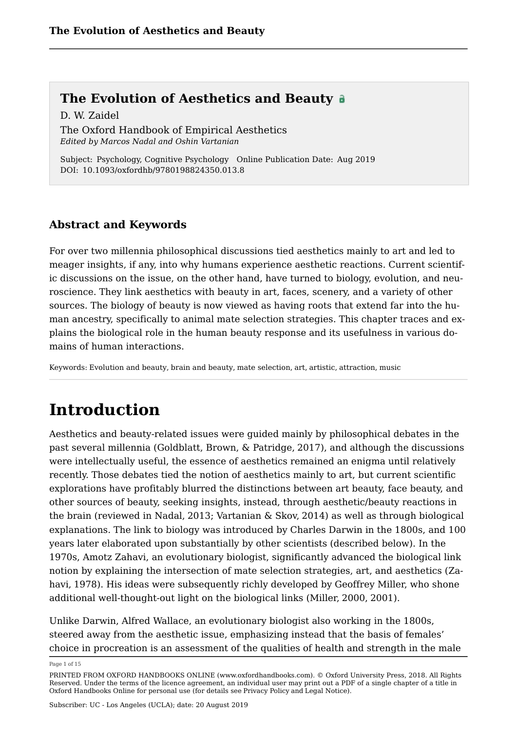D. W. Zaidel The Oxford Handbook of Empirical Aesthetics *Edited by Marcos Nadal and Oshin Vartanian*

Subject: Psychology, Cognitive Psychology Online Publication Date: Aug 2019 DOI: 10.1093/oxfordhb/9780198824350.013.8

### **Abstract and Keywords**

For over two millennia philosophical discussions tied aesthetics mainly to art and led to meager insights, if any, into why humans experience aesthetic reactions. Current scientific discussions on the issue, on the other hand, have turned to biology, evolution, and neuroscience. They link aesthetics with beauty in art, faces, scenery, and a variety of other sources. The biology of beauty is now viewed as having roots that extend far into the human ancestry, specifically to animal mate selection strategies. This chapter traces and explains the biological role in the human beauty response and its usefulness in various domains of human interactions.

Keywords: Evolution and beauty, brain and beauty, mate selection, art, artistic, attraction, music

### **Introduction**

Aesthetics and beauty-related issues were guided mainly by philosophical debates in the past several millennia (Goldblatt, Brown, & Patridge, 2017), and although the discussions were intellectually useful, the essence of aesthetics remained an enigma until relatively recently. Those debates tied the notion of aesthetics mainly to art, but current scientific explorations have profitably blurred the distinctions between art beauty, face beauty, and other sources of beauty, seeking insights, instead, through aesthetic/beauty reactions in the brain (reviewed in Nadal, 2013; Vartanian & Skov, 2014) as well as through biological explanations. The link to biology was introduced by Charles Darwin in the 1800s, and 100 years later elaborated upon substantially by other scientists (described below). In the 1970s, Amotz Zahavi, an evolutionary biologist, significantly advanced the biological link notion by explaining the intersection of mate selection strategies, art, and aesthetics (Zahavi, 1978). His ideas were subsequently richly developed by Geoffrey Miller, who shone additional well-thought-out light on the biological links (Miller, 2000, 2001).

Unlike Darwin, Alfred Wallace, an evolutionary biologist also working in the 1800s, steered away from the aesthetic issue, emphasizing instead that the basis of females' choice in procreation is an assessment of the qualities of health and strength in the male

Page 1 of 15

PRINTED FROM OXFORD HANDBOOKS ONLINE (www.oxfordhandbooks.com). © Oxford University Press, 2018. All Rights Reserved. Under the terms of the licence agreement, an individual user may print out a PDF of a single chapter of a title in Oxford Handbooks Online for personal use (for details see Privacy Policy and Legal Notice).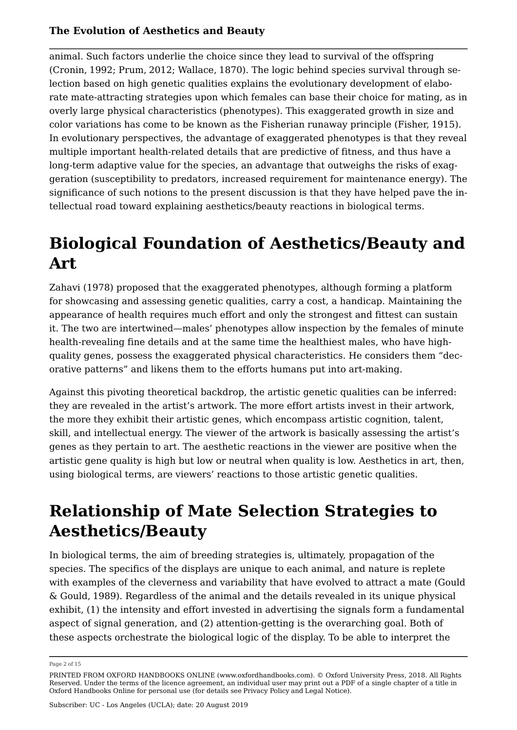animal. Such factors underlie the choice since they lead to survival of the offspring (Cronin, 1992; Prum, 2012; Wallace, 1870). The logic behind species survival through selection based on high genetic qualities explains the evolutionary development of elaborate mate-attracting strategies upon which females can base their choice for mating, as in overly large physical characteristics (phenotypes). This exaggerated growth in size and color variations has come to be known as the Fisherian runaway principle (Fisher, 1915). In evolutionary perspectives, the advantage of exaggerated phenotypes is that they reveal multiple important health-related details that are predictive of fitness, and thus have a long-term adaptive value for the species, an advantage that outweighs the risks of exaggeration (susceptibility to predators, increased requirement for maintenance energy). The significance of such notions to the present discussion is that they have helped pave the intellectual road toward explaining aesthetics/beauty reactions in biological terms.

### **Biological Foundation of Aesthetics/Beauty and Art**

Zahavi (1978) proposed that the exaggerated phenotypes, although forming a platform for showcasing and assessing genetic qualities, carry a cost, a handicap. Maintaining the appearance of health requires much effort and only the strongest and fittest can sustain it. The two are intertwined—males' phenotypes allow inspection by the females of minute health-revealing fine details and at the same time the healthiest males, who have highquality genes, possess the exaggerated physical characteristics. He considers them "decorative patterns" and likens them to the efforts humans put into art-making.

Against this pivoting theoretical backdrop, the artistic genetic qualities can be inferred: they are revealed in the artist's artwork. The more effort artists invest in their artwork, the more they exhibit their artistic genes, which encompass artistic cognition, talent, skill, and intellectual energy. The viewer of the artwork is basically assessing the artist's genes as they pertain to art. The aesthetic reactions in the viewer are positive when the artistic gene quality is high but low or neutral when quality is low. Aesthetics in art, then, using biological terms, are viewers' reactions to those artistic genetic qualities.

## **Relationship of Mate Selection Strategies to Aesthetics/Beauty**

In biological terms, the aim of breeding strategies is, ultimately, propagation of the species. The specifics of the displays are unique to each animal, and nature is replete with examples of the cleverness and variability that have evolved to attract a mate (Gould & Gould, 1989). Regardless of the animal and the details revealed in its unique physical exhibit, (1) the intensity and effort invested in advertising the signals form a fundamental aspect of signal generation, and (2) attention-getting is the overarching goal. Both of these aspects orchestrate the biological logic of the display. To be able to interpret the

Page 2 of 15

PRINTED FROM OXFORD HANDBOOKS ONLINE (www.oxfordhandbooks.com). © Oxford University Press, 2018. All Rights Reserved. Under the terms of the licence agreement, an individual user may print out a PDF of a single chapter of a title in Oxford Handbooks Online for personal use (for details see Privacy Policy and Legal Notice).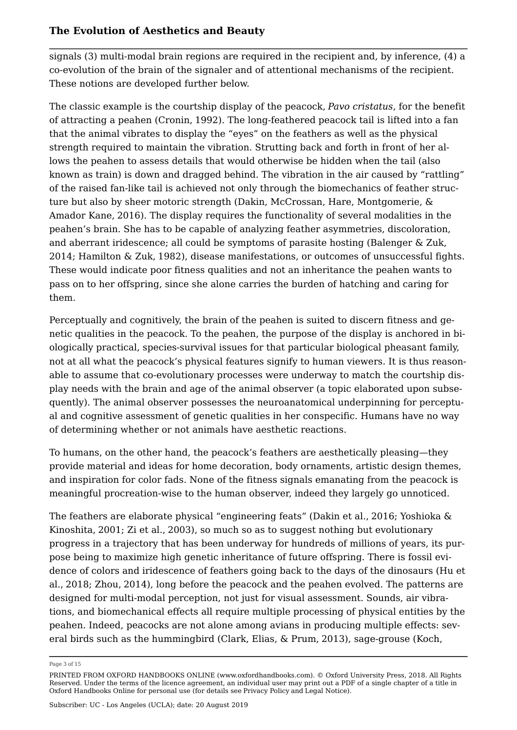signals (3) multi-modal brain regions are required in the recipient and, by inference, (4) a co-evolution of the brain of the signaler and of attentional mechanisms of the recipient. These notions are developed further below.

The classic example is the courtship display of the peacock, *Pavo cristatus*, for the benefit of attracting a peahen (Cronin, 1992). The long-feathered peacock tail is lifted into a fan that the animal vibrates to display the "eyes" on the feathers as well as the physical strength required to maintain the vibration. Strutting back and forth in front of her allows the peahen to assess details that would otherwise be hidden when the tail (also known as train) is down and dragged behind. The vibration in the air caused by "rattling" of the raised fan-like tail is achieved not only through the biomechanics of feather structure but also by sheer motoric strength (Dakin, McCrossan, Hare, Montgomerie, & Amador Kane, 2016). The display requires the functionality of several modalities in the peahen's brain. She has to be capable of analyzing feather asymmetries, discoloration, and aberrant iridescence; all could be symptoms of parasite hosting (Balenger & Zuk, 2014; Hamilton & Zuk, 1982), disease manifestations, or outcomes of unsuccessful fights. These would indicate poor fitness qualities and not an inheritance the peahen wants to pass on to her offspring, since she alone carries the burden of hatching and caring for them.

Perceptually and cognitively, the brain of the peahen is suited to discern fitness and genetic qualities in the peacock. To the peahen, the purpose of the display is anchored in biologically practical, species-survival issues for that particular biological pheasant family, not at all what the peacock's physical features signify to human viewers. It is thus reasonable to assume that co-evolutionary processes were underway to match the courtship display needs with the brain and age of the animal observer (a topic elaborated upon subsequently). The animal observer possesses the neuroanatomical underpinning for perceptual and cognitive assessment of genetic qualities in her conspecific. Humans have no way of determining whether or not animals have aesthetic reactions.

To humans, on the other hand, the peacock's feathers are aesthetically pleasing—they provide material and ideas for home decoration, body ornaments, artistic design themes, and inspiration for color fads. None of the fitness signals emanating from the peacock is meaningful procreation-wise to the human observer, indeed they largely go unnoticed.

The feathers are elaborate physical "engineering feats" (Dakin et al., 2016; Yoshioka & Kinoshita, 2001; Zi et al., 2003), so much so as to suggest nothing but evolutionary progress in a trajectory that has been underway for hundreds of millions of years, its purpose being to maximize high genetic inheritance of future offspring. There is fossil evidence of colors and iridescence of feathers going back to the days of the dinosaurs (Hu et al., 2018; Zhou, 2014), long before the peacock and the peahen evolved. The patterns are designed for multi-modal perception, not just for visual assessment. Sounds, air vibrations, and biomechanical effects all require multiple processing of physical entities by the peahen. Indeed, peacocks are not alone among avians in producing multiple effects: several birds such as the hummingbird (Clark, Elias, & Prum, 2013), sage-grouse (Koch,

Page 3 of 15

PRINTED FROM OXFORD HANDBOOKS ONLINE (www.oxfordhandbooks.com). © Oxford University Press, 2018. All Rights Reserved. Under the terms of the licence agreement, an individual user may print out a PDF of a single chapter of a title in Oxford Handbooks Online for personal use (for details see Privacy Policy and Legal Notice).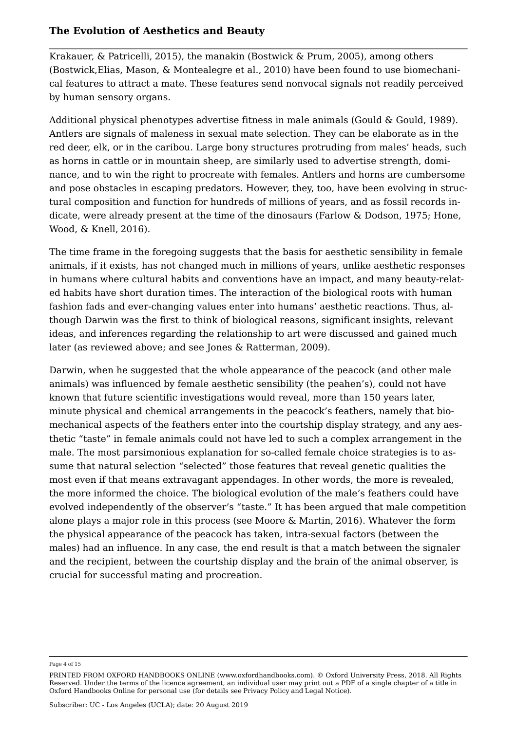Krakauer, & Patricelli, 2015), the manakin (Bostwick & Prum, 2005), among others (Bostwick,Elias, Mason, & Montealegre et al., 2010) have been found to use biomechanical features to attract a mate. These features send nonvocal signals not readily perceived by human sensory organs.

Additional physical phenotypes advertise fitness in male animals (Gould & Gould, 1989). Antlers are signals of maleness in sexual mate selection. They can be elaborate as in the red deer, elk, or in the caribou. Large bony structures protruding from males' heads, such as horns in cattle or in mountain sheep, are similarly used to advertise strength, dominance, and to win the right to procreate with females. Antlers and horns are cumbersome and pose obstacles in escaping predators. However, they, too, have been evolving in structural composition and function for hundreds of millions of years, and as fossil records indicate, were already present at the time of the dinosaurs (Farlow & Dodson, 1975; Hone, Wood, & Knell, 2016).

The time frame in the foregoing suggests that the basis for aesthetic sensibility in female animals, if it exists, has not changed much in millions of years, unlike aesthetic responses in humans where cultural habits and conventions have an impact, and many beauty-related habits have short duration times. The interaction of the biological roots with human fashion fads and ever-changing values enter into humans' aesthetic reactions. Thus, although Darwin was the first to think of biological reasons, significant insights, relevant ideas, and inferences regarding the relationship to art were discussed and gained much later (as reviewed above; and see Jones & Ratterman, 2009).

Darwin, when he suggested that the whole appearance of the peacock (and other male animals) was influenced by female aesthetic sensibility (the peahen's), could not have known that future scientific investigations would reveal, more than 150 years later, minute physical and chemical arrangements in the peacock's feathers, namely that biomechanical aspects of the feathers enter into the courtship display strategy, and any aesthetic "taste" in female animals could not have led to such a complex arrangement in the male. The most parsimonious explanation for so-called female choice strategies is to assume that natural selection "selected" those features that reveal genetic qualities the most even if that means extravagant appendages. In other words, the more is revealed, the more informed the choice. The biological evolution of the male's feathers could have evolved independently of the observer's "taste." It has been argued that male competition alone plays a major role in this process (see Moore & Martin, 2016). Whatever the form the physical appearance of the peacock has taken, intra-sexual factors (between the males) had an influence. In any case, the end result is that a match between the signaler and the recipient, between the courtship display and the brain of the animal observer, is crucial for successful mating and procreation.

Page 4 of 15

PRINTED FROM OXFORD HANDBOOKS ONLINE (www.oxfordhandbooks.com). © Oxford University Press, 2018. All Rights Reserved. Under the terms of the licence agreement, an individual user may print out a PDF of a single chapter of a title in Oxford Handbooks Online for personal use (for details see Privacy Policy and Legal Notice).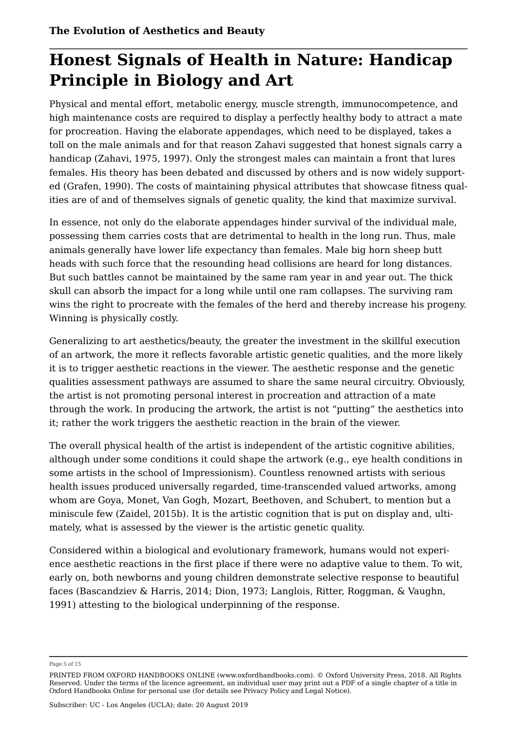### **Honest Signals of Health in Nature: Handicap Principle in Biology and Art**

Physical and mental effort, metabolic energy, muscle strength, immunocompetence, and high maintenance costs are required to display a perfectly healthy body to attract a mate for procreation. Having the elaborate appendages, which need to be displayed, takes a toll on the male animals and for that reason Zahavi suggested that honest signals carry a handicap (Zahavi, 1975, 1997). Only the strongest males can maintain a front that lures females. His theory has been debated and discussed by others and is now widely supported (Grafen, 1990). The costs of maintaining physical attributes that showcase fitness qualities are of and of themselves signals of genetic quality, the kind that maximize survival.

In essence, not only do the elaborate appendages hinder survival of the individual male, possessing them carries costs that are detrimental to health in the long run. Thus, male animals generally have lower life expectancy than females. Male big horn sheep butt heads with such force that the resounding head collisions are heard for long distances. But such battles cannot be maintained by the same ram year in and year out. The thick skull can absorb the impact for a long while until one ram collapses. The surviving ram wins the right to procreate with the females of the herd and thereby increase his progeny. Winning is physically costly.

Generalizing to art aesthetics/beauty, the greater the investment in the skillful execution of an artwork, the more it reflects favorable artistic genetic qualities, and the more likely it is to trigger aesthetic reactions in the viewer. The aesthetic response and the genetic qualities assessment pathways are assumed to share the same neural circuitry. Obviously, the artist is not promoting personal interest in procreation and attraction of a mate through the work. In producing the artwork, the artist is not "putting" the aesthetics into it; rather the work triggers the aesthetic reaction in the brain of the viewer.

The overall physical health of the artist is independent of the artistic cognitive abilities, although under some conditions it could shape the artwork (e.g., eye health conditions in some artists in the school of Impressionism). Countless renowned artists with serious health issues produced universally regarded, time-transcended valued artworks, among whom are Goya, Monet, Van Gogh, Mozart, Beethoven, and Schubert, to mention but a miniscule few (Zaidel, 2015b). It is the artistic cognition that is put on display and, ultimately, what is assessed by the viewer is the artistic genetic quality.

Considered within a biological and evolutionary framework, humans would not experience aesthetic reactions in the first place if there were no adaptive value to them. To wit, early on, both newborns and young children demonstrate selective response to beautiful faces (Bascandziev & Harris, 2014; Dion, 1973; Langlois, Ritter, Roggman, & Vaughn, 1991) attesting to the biological underpinning of the response.

Page 5 of 15

PRINTED FROM OXFORD HANDBOOKS ONLINE (www.oxfordhandbooks.com). © Oxford University Press, 2018. All Rights Reserved. Under the terms of the licence agreement, an individual user may print out a PDF of a single chapter of a title in Oxford Handbooks Online for personal use (for details see Privacy Policy and Legal Notice).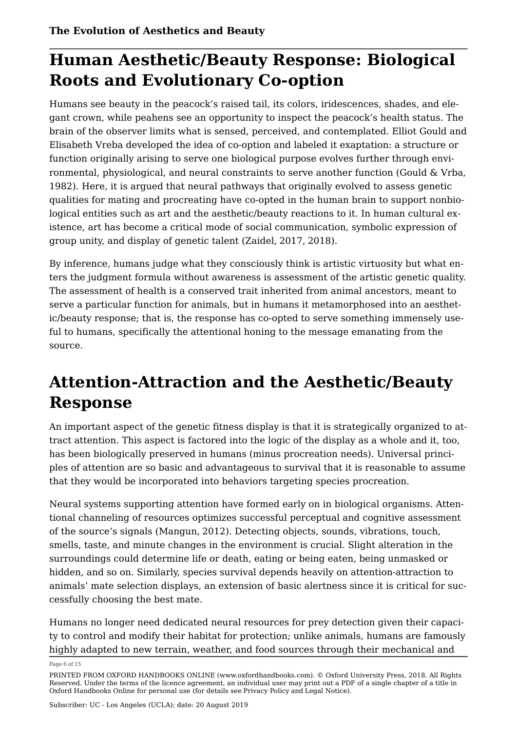### **Human Aesthetic/Beauty Response: Biological Roots and Evolutionary Co-option**

Humans see beauty in the peacock's raised tail, its colors, iridescences, shades, and elegant crown, while peahens see an opportunity to inspect the peacock's health status. The brain of the observer limits what is sensed, perceived, and contemplated. Elliot Gould and Elisabeth Vreba developed the idea of co-option and labeled it exaptation: a structure or function originally arising to serve one biological purpose evolves further through environmental, physiological, and neural constraints to serve another function (Gould & Vrba, 1982). Here, it is argued that neural pathways that originally evolved to assess genetic qualities for mating and procreating have co-opted in the human brain to support nonbiological entities such as art and the aesthetic/beauty reactions to it. In human cultural existence, art has become a critical mode of social communication, symbolic expression of group unity, and display of genetic talent (Zaidel, 2017, 2018).

By inference, humans judge what they consciously think is artistic virtuosity but what enters the judgment formula without awareness is assessment of the artistic genetic quality. The assessment of health is a conserved trait inherited from animal ancestors, meant to serve a particular function for animals, but in humans it metamorphosed into an aesthetic/beauty response; that is, the response has co-opted to serve something immensely useful to humans, specifically the attentional honing to the message emanating from the source.

# **Attention-Attraction and the Aesthetic/Beauty Response**

An important aspect of the genetic fitness display is that it is strategically organized to attract attention. This aspect is factored into the logic of the display as a whole and it, too, has been biologically preserved in humans (minus procreation needs). Universal principles of attention are so basic and advantageous to survival that it is reasonable to assume that they would be incorporated into behaviors targeting species procreation.

Neural systems supporting attention have formed early on in biological organisms. Attentional channeling of resources optimizes successful perceptual and cognitive assessment of the source's signals (Mangun, 2012). Detecting objects, sounds, vibrations, touch, smells, taste, and minute changes in the environment is crucial. Slight alteration in the surroundings could determine life or death, eating or being eaten, being unmasked or hidden, and so on. Similarly, species survival depends heavily on attention-attraction to animals' mate selection displays, an extension of basic alertness since it is critical for successfully choosing the best mate.

Humans no longer need dedicated neural resources for prey detection given their capacity to control and modify their habitat for protection; unlike animals, humans are famously highly adapted to new terrain, weather, and food sources through their mechanical and

Page 6 of 15

PRINTED FROM OXFORD HANDBOOKS ONLINE (www.oxfordhandbooks.com). © Oxford University Press, 2018. All Rights Reserved. Under the terms of the licence agreement, an individual user may print out a PDF of a single chapter of a title in Oxford Handbooks Online for personal use (for details see Privacy Policy and Legal Notice).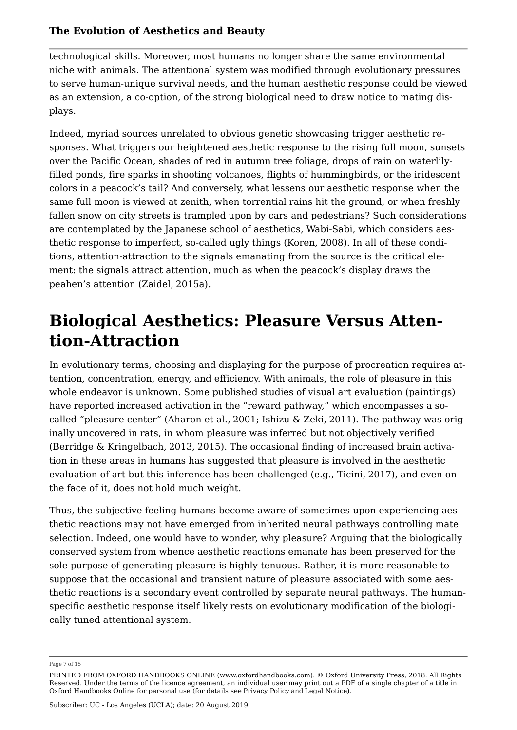technological skills. Moreover, most humans no longer share the same environmental niche with animals. The attentional system was modified through evolutionary pressures to serve human-unique survival needs, and the human aesthetic response could be viewed as an extension, a co-option, of the strong biological need to draw notice to mating displays.

Indeed, myriad sources unrelated to obvious genetic showcasing trigger aesthetic responses. What triggers our heightened aesthetic response to the rising full moon, sunsets over the Pacific Ocean, shades of red in autumn tree foliage, drops of rain on waterlilyfilled ponds, fire sparks in shooting volcanoes, flights of hummingbirds, or the iridescent colors in a peacock's tail? And conversely, what lessens our aesthetic response when the same full moon is viewed at zenith, when torrential rains hit the ground, or when freshly fallen snow on city streets is trampled upon by cars and pedestrians? Such considerations are contemplated by the Japanese school of aesthetics, Wabi-Sabi, which considers aesthetic response to imperfect, so-called ugly things (Koren, 2008). In all of these conditions, attention-attraction to the signals emanating from the source is the critical element: the signals attract attention, much as when the peacock's display draws the peahen's attention (Zaidel, 2015a).

### **Biological Aesthetics: Pleasure Versus Attention-Attraction**

In evolutionary terms, choosing and displaying for the purpose of procreation requires attention, concentration, energy, and efficiency. With animals, the role of pleasure in this whole endeavor is unknown. Some published studies of visual art evaluation (paintings) have reported increased activation in the "reward pathway," which encompasses a socalled "pleasure center" (Aharon et al., 2001; Ishizu & Zeki, 2011). The pathway was originally uncovered in rats, in whom pleasure was inferred but not objectively verified (Berridge & Kringelbach, 2013, 2015). The occasional finding of increased brain activation in these areas in humans has suggested that pleasure is involved in the aesthetic evaluation of art but this inference has been challenged (e.g., Ticini, 2017), and even on the face of it, does not hold much weight.

Thus, the subjective feeling humans become aware of sometimes upon experiencing aesthetic reactions may not have emerged from inherited neural pathways controlling mate selection. Indeed, one would have to wonder, why pleasure? Arguing that the biologically conserved system from whence aesthetic reactions emanate has been preserved for the sole purpose of generating pleasure is highly tenuous. Rather, it is more reasonable to suppose that the occasional and transient nature of pleasure associated with some aesthetic reactions is a secondary event controlled by separate neural pathways. The humanspecific aesthetic response itself likely rests on evolutionary modification of the biologically tuned attentional system.

Page 7 of 15

PRINTED FROM OXFORD HANDBOOKS ONLINE (www.oxfordhandbooks.com). © Oxford University Press, 2018. All Rights Reserved. Under the terms of the licence agreement, an individual user may print out a PDF of a single chapter of a title in Oxford Handbooks Online for personal use (for details see Privacy Policy and Legal Notice).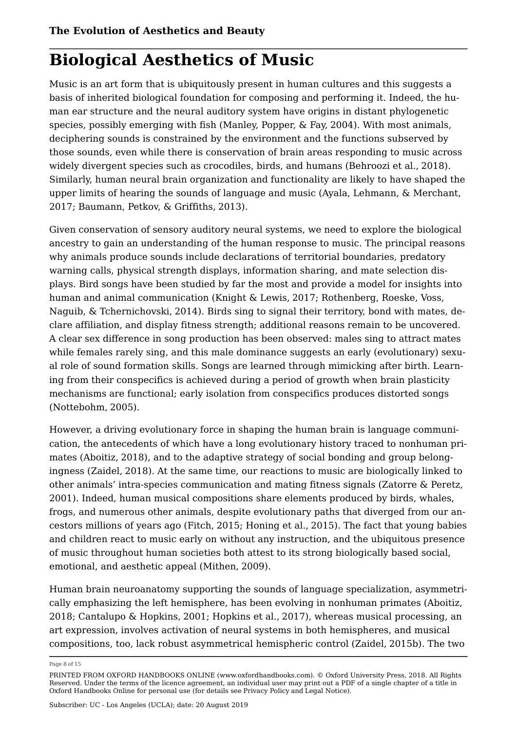### **Biological Aesthetics of Music**

Music is an art form that is ubiquitously present in human cultures and this suggests a basis of inherited biological foundation for composing and performing it. Indeed, the human ear structure and the neural auditory system have origins in distant phylogenetic species, possibly emerging with fish (Manley, Popper, & Fay, 2004). With most animals, deciphering sounds is constrained by the environment and the functions subserved by those sounds, even while there is conservation of brain areas responding to music across widely divergent species such as crocodiles, birds, and humans (Behroozi et al., 2018). Similarly, human neural brain organization and functionality are likely to have shaped the upper limits of hearing the sounds of language and music (Ayala, Lehmann, & Merchant, 2017; Baumann, Petkov, & Griffiths, 2013).

Given conservation of sensory auditory neural systems, we need to explore the biological ancestry to gain an understanding of the human response to music. The principal reasons why animals produce sounds include declarations of territorial boundaries, predatory warning calls, physical strength displays, information sharing, and mate selection displays. Bird songs have been studied by far the most and provide a model for insights into human and animal communication (Knight & Lewis, 2017; Rothenberg, Roeske, Voss, Naguib, & Tchernichovski, 2014). Birds sing to signal their territory, bond with mates, declare affiliation, and display fitness strength; additional reasons remain to be uncovered. A clear sex difference in song production has been observed: males sing to attract mates while females rarely sing, and this male dominance suggests an early (evolutionary) sexual role of sound formation skills. Songs are learned through mimicking after birth. Learning from their conspecifics is achieved during a period of growth when brain plasticity mechanisms are functional; early isolation from conspecifics produces distorted songs (Nottebohm, 2005).

However, a driving evolutionary force in shaping the human brain is language communication, the antecedents of which have a long evolutionary history traced to nonhuman primates (Aboitiz, 2018), and to the adaptive strategy of social bonding and group belongingness (Zaidel, 2018). At the same time, our reactions to music are biologically linked to other animals' intra-species communication and mating fitness signals (Zatorre & Peretz, 2001). Indeed, human musical compositions share elements produced by birds, whales, frogs, and numerous other animals, despite evolutionary paths that diverged from our ancestors millions of years ago (Fitch, 2015; Honing et al., 2015). The fact that young babies and children react to music early on without any instruction, and the ubiquitous presence of music throughout human societies both attest to its strong biologically based social, emotional, and aesthetic appeal (Mithen, 2009).

Human brain neuroanatomy supporting the sounds of language specialization, asymmetrically emphasizing the left hemisphere, has been evolving in nonhuman primates (Aboitiz, 2018; Cantalupo & Hopkins, 2001; Hopkins et al., 2017), whereas musical processing, an art expression, involves activation of neural systems in both hemispheres, and musical compositions, too, lack robust asymmetrical hemispheric control (Zaidel, 2015b). The two

Page 8 of 15

PRINTED FROM OXFORD HANDBOOKS ONLINE (www.oxfordhandbooks.com). © Oxford University Press, 2018. All Rights Reserved. Under the terms of the licence agreement, an individual user may print out a PDF of a single chapter of a title in Oxford Handbooks Online for personal use (for details see Privacy Policy and Legal Notice).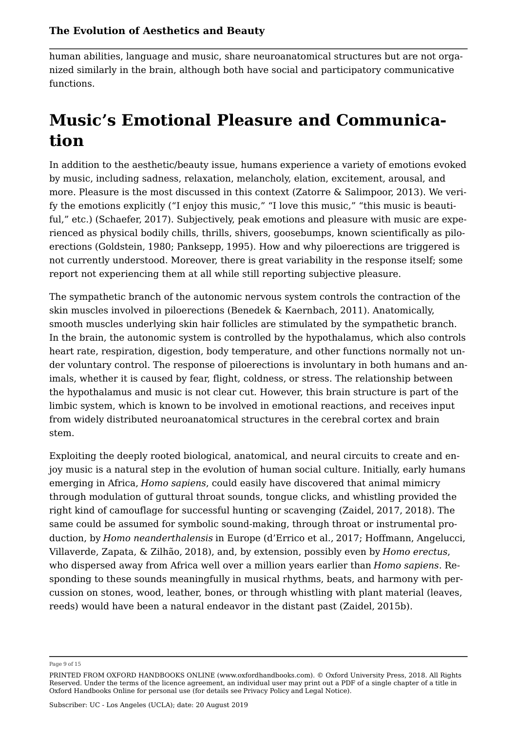human abilities, language and music, share neuroanatomical structures but are not organized similarly in the brain, although both have social and participatory communicative functions.

### **Music's Emotional Pleasure and Communication**

In addition to the aesthetic/beauty issue, humans experience a variety of emotions evoked by music, including sadness, relaxation, melancholy, elation, excitement, arousal, and more. Pleasure is the most discussed in this context (Zatorre & Salimpoor, 2013). We verify the emotions explicitly ("I enjoy this music," "I love this music," "this music is beautiful," etc.) (Schaefer, 2017). Subjectively, peak emotions and pleasure with music are experienced as physical bodily chills, thrills, shivers, goosebumps, known scientifically as piloerections (Goldstein, 1980; Panksepp, 1995). How and why piloerections are triggered is not currently understood. Moreover, there is great variability in the response itself; some report not experiencing them at all while still reporting subjective pleasure.

The sympathetic branch of the autonomic nervous system controls the contraction of the skin muscles involved in piloerections (Benedek & Kaernbach, 2011). Anatomically, smooth muscles underlying skin hair follicles are stimulated by the sympathetic branch. In the brain, the autonomic system is controlled by the hypothalamus, which also controls heart rate, respiration, digestion, body temperature, and other functions normally not under voluntary control. The response of piloerections is involuntary in both humans and animals, whether it is caused by fear, flight, coldness, or stress. The relationship between the hypothalamus and music is not clear cut. However, this brain structure is part of the limbic system, which is known to be involved in emotional reactions, and receives input from widely distributed neuroanatomical structures in the cerebral cortex and brain stem.

Exploiting the deeply rooted biological, anatomical, and neural circuits to create and enjoy music is a natural step in the evolution of human social culture. Initially, early humans emerging in Africa, *Homo sapiens*, could easily have discovered that animal mimicry through modulation of guttural throat sounds, tongue clicks, and whistling provided the right kind of camouflage for successful hunting or scavenging (Zaidel, 2017, 2018). The same could be assumed for symbolic sound-making, through throat or instrumental production, by *Homo neanderthalensis* in Europe (d'Errico et al., 2017; Hoffmann, Angelucci, Villaverde, Zapata, & Zilhão, 2018), and, by extension, possibly even by *Homo erectus*, who dispersed away from Africa well over a million years earlier than *Homo sapiens*. Responding to these sounds meaningfully in musical rhythms, beats, and harmony with percussion on stones, wood, leather, bones, or through whistling with plant material (leaves, reeds) would have been a natural endeavor in the distant past (Zaidel, 2015b).

Page 9 of 15

PRINTED FROM OXFORD HANDBOOKS ONLINE (www.oxfordhandbooks.com). © Oxford University Press, 2018. All Rights Reserved. Under the terms of the licence agreement, an individual user may print out a PDF of a single chapter of a title in Oxford Handbooks Online for personal use (for details see Privacy Policy and Legal Notice).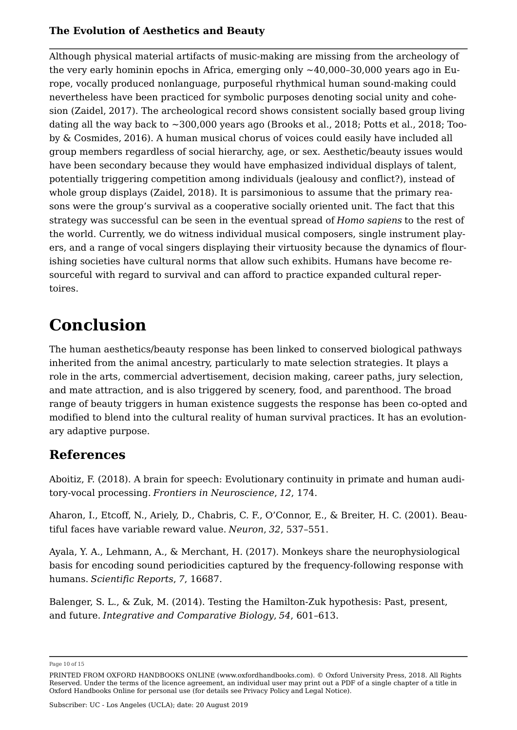Although physical material artifacts of music-making are missing from the archeology of the very early hominin epochs in Africa, emerging only  $\sim$ 40,000–30,000 years ago in Europe, vocally produced nonlanguage, purposeful rhythmical human sound-making could nevertheless have been practiced for symbolic purposes denoting social unity and cohesion (Zaidel, 2017). The archeological record shows consistent socially based group living dating all the way back to  $\sim$  300,000 years ago (Brooks et al., 2018; Potts et al., 2018; Tooby & Cosmides, 2016). A human musical chorus of voices could easily have included all group members regardless of social hierarchy, age, or sex. Aesthetic/beauty issues would have been secondary because they would have emphasized individual displays of talent, potentially triggering competition among individuals (jealousy and conflict?), instead of whole group displays (Zaidel, 2018). It is parsimonious to assume that the primary reasons were the group's survival as a cooperative socially oriented unit. The fact that this strategy was successful can be seen in the eventual spread of *Homo sapiens* to the rest of the world. Currently, we do witness individual musical composers, single instrument players, and a range of vocal singers displaying their virtuosity because the dynamics of flourishing societies have cultural norms that allow such exhibits. Humans have become resourceful with regard to survival and can afford to practice expanded cultural repertoires.

### **Conclusion**

The human aesthetics/beauty response has been linked to conserved biological pathways inherited from the animal ancestry, particularly to mate selection strategies. It plays a role in the arts, commercial advertisement, decision making, career paths, jury selection, and mate attraction, and is also triggered by scenery, food, and parenthood. The broad range of beauty triggers in human existence suggests the response has been co-opted and modified to blend into the cultural reality of human survival practices. It has an evolutionary adaptive purpose.

### **References**

Aboitiz, F. (2018). A brain for speech: Evolutionary continuity in primate and human auditory-vocal processing. *Frontiers in Neuroscience*, *12*, 174.

Aharon, I., Etcoff, N., Ariely, D., Chabris, C. F., O'Connor, E., & Breiter, H. C. (2001). Beautiful faces have variable reward value. *Neuron*, *32*, 537–551.

Ayala, Y. A., Lehmann, A., & Merchant, H. (2017). Monkeys share the neurophysiological basis for encoding sound periodicities captured by the frequency-following response with humans. *Scientific Reports*, *7*, 16687.

Balenger, S. L., & Zuk, M. (2014). Testing the Hamilton-Zuk hypothesis: Past, present, and future. *Integrative and Comparative Biology*, *54*, 601–613.

Page 10 of 15

PRINTED FROM OXFORD HANDBOOKS ONLINE (www.oxfordhandbooks.com). © Oxford University Press, 2018. All Rights Reserved. Under the terms of the licence agreement, an individual user may print out a PDF of a single chapter of a title in Oxford Handbooks Online for personal use (for details see Privacy Policy and Legal Notice).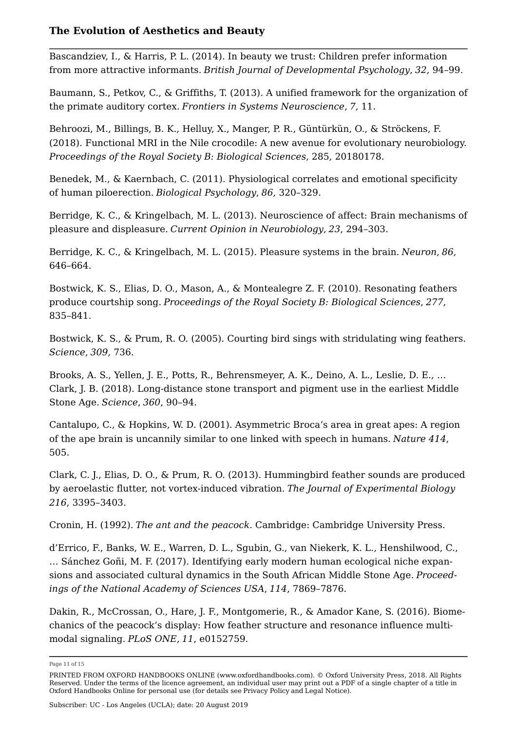Bascandziev, I., & Harris, P. L. (2014). In beauty we trust: Children prefer information from more attractive informants. *British Journal of Developmental Psychology*, *32*, 94–99.

Baumann, S., Petkov, C., & Griffiths, T. (2013). A unified framework for the organization of the primate auditory cortex. *Frontiers in Systems Neuroscience*, *7*, 11.

Behroozi, M., Billings, B. K., Helluy, X., Manger, P. R., Güntürkün, O., & Ströckens, F. (2018). Functional MRI in the Nile crocodile: A new avenue for evolutionary neurobiology. *Proceedings of the Royal Society B: Biological Sciences*, 285, 20180178.

Benedek, M., & Kaernbach, C. (2011). Physiological correlates and emotional specificity of human piloerection. *Biological Psychology*, *86*, 320–329.

Berridge, K. C., & Kringelbach, M. L. (2013). Neuroscience of affect: Brain mechanisms of pleasure and displeasure. *Current Opinion in Neurobiology*, *23*, 294–303.

Berridge, K. C., & Kringelbach, M. L. (2015). Pleasure systems in the brain. *Neuron*, *86*, 646–664.

Bostwick, K. S., Elias, D. O., Mason, A., & Montealegre Z. F. (2010). Resonating feathers produce courtship song. *Proceedings of the Royal Society B: Biological Sciences*, *277*, 835–841.

Bostwick, K. S., & Prum, R. O. (2005). Courting bird sings with stridulating wing feathers. *Science*, *309*, 736.

Brooks, A. S., Yellen, J. E., Potts, R., Behrensmeyer, A. K., Deino, A. L., Leslie, D. E., … Clark, J. B. (2018). Long-distance stone transport and pigment use in the earliest Middle Stone Age. *Science*, *360*, 90–94.

Cantalupo, C., & Hopkins, W. D. (2001). Asymmetric Broca's area in great apes: A region of the ape brain is uncannily similar to one linked with speech in humans. *Nature 414*, 505.

Clark, C. J., Elias, D. O., & Prum, R. O. (2013). Hummingbird feather sounds are produced by aeroelastic flutter, not vortex-induced vibration. *The Journal of Experimental Biology 216*, 3395–3403.

Cronin, H. (1992). *The ant and the peacock*. Cambridge: Cambridge University Press.

d'Errico, F., Banks, W. E., Warren, D. L., Sgubin, G., van Niekerk, K. L., Henshilwood, C., … Sánchez Goñi, M. F. (2017). Identifying early modern human ecological niche expansions and associated cultural dynamics in the South African Middle Stone Age. *Proceedings of the National Academy of Sciences USA*, *114*, 7869–7876.

Dakin, R., McCrossan, O., Hare, J. F., Montgomerie, R., & Amador Kane, S. (2016). Biomechanics of the peacock's display: How feather structure and resonance influence multimodal signaling. *PLoS ONE*, *11*, e0152759.

Page 11 of 15

PRINTED FROM OXFORD HANDBOOKS ONLINE (www.oxfordhandbooks.com). © Oxford University Press, 2018. All Rights Reserved. Under the terms of the licence agreement, an individual user may print out a PDF of a single chapter of a title in Oxford Handbooks Online for personal use (for details see Privacy Policy and Legal Notice).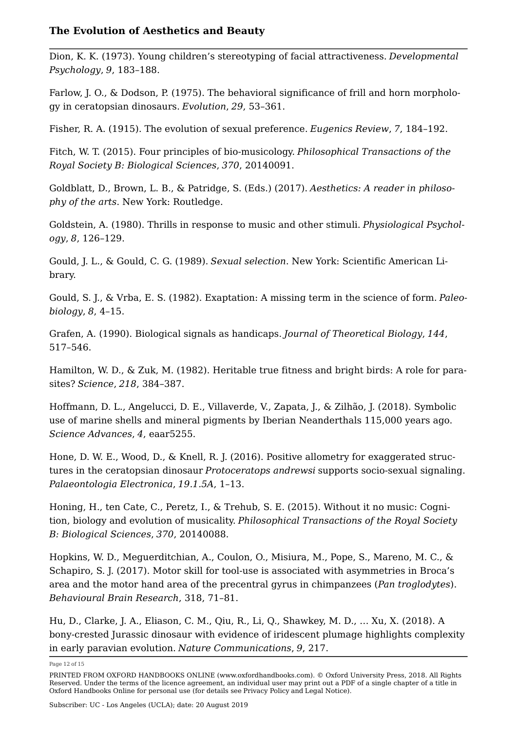Dion, K. K. (1973). Young children's stereotyping of facial attractiveness. *Developmental Psychology*, *9*, 183–188.

Farlow, J. O., & Dodson, P. (1975). The behavioral significance of frill and horn morphology in ceratopsian dinosaurs. *Evolution*, *29*, 53–361.

Fisher, R. A. (1915). The evolution of sexual preference. *Eugenics Review*, *7*, 184–192.

Fitch, W. T. (2015). Four principles of bio-musicology. *Philosophical Transactions of the Royal Society B: Biological Sciences*, *370*, 20140091.

Goldblatt, D., Brown, L. B., & Patridge, S. (Eds.) (2017). *Aesthetics: A reader in philosophy of the arts*. New York: Routledge.

Goldstein, A. (1980). Thrills in response to music and other stimuli. *Physiological Psychology*, *8*, 126–129.

Gould, J. L., & Gould, C. G. (1989). *Sexual selection*. New York: Scientific American Library.

Gould, S. J., & Vrba, E. S. (1982). Exaptation: A missing term in the science of form. *Paleobiology*, *8*, 4–15.

Grafen, A. (1990). Biological signals as handicaps. *Journal of Theoretical Biology*, *144*, 517–546.

Hamilton, W. D., & Zuk, M. (1982). Heritable true fitness and bright birds: A role for parasites? *Science*, *218*, 384–387.

Hoffmann, D. L., Angelucci, D. E., Villaverde, V., Zapata, J., & Zilhão, J. (2018). Symbolic use of marine shells and mineral pigments by Iberian Neanderthals 115,000 years ago. *Science Advances*, *4*, eaar5255.

Hone, D. W. E., Wood, D., & Knell, R. J. (2016). Positive allometry for exaggerated structures in the ceratopsian dinosaur *Protoceratops andrewsi* supports socio-sexual signaling. *Palaeontologia Electronica*, *19.1.5A*, 1–13.

Honing, H., ten Cate, C., Peretz, I., & Trehub, S. E. (2015). Without it no music: Cognition, biology and evolution of musicality. *Philosophical Transactions of the Royal Society B: Biological Sciences*, *370*, 20140088.

Hopkins, W. D., Meguerditchian, A., Coulon, O., Misiura, M., Pope, S., Mareno, M. C., & Schapiro, S. J. (2017). Motor skill for tool-use is associated with asymmetries in Broca's area and the motor hand area of the precentral gyrus in chimpanzees (*Pan troglodytes*). *Behavioural Brain Research*, 318, 71–81.

Hu, D., Clarke, J. A., Eliason, C. M., Qiu, R., Li, Q., Shawkey, M. D., … Xu, X. (2018). A bony-crested Jurassic dinosaur with evidence of iridescent plumage highlights complexity in early paravian evolution. *Nature Communications*, *9*, 217.

Page 12 of 15

PRINTED FROM OXFORD HANDBOOKS ONLINE (www.oxfordhandbooks.com). © Oxford University Press, 2018. All Rights Reserved. Under the terms of the licence agreement, an individual user may print out a PDF of a single chapter of a title in Oxford Handbooks Online for personal use (for details see Privacy Policy and Legal Notice).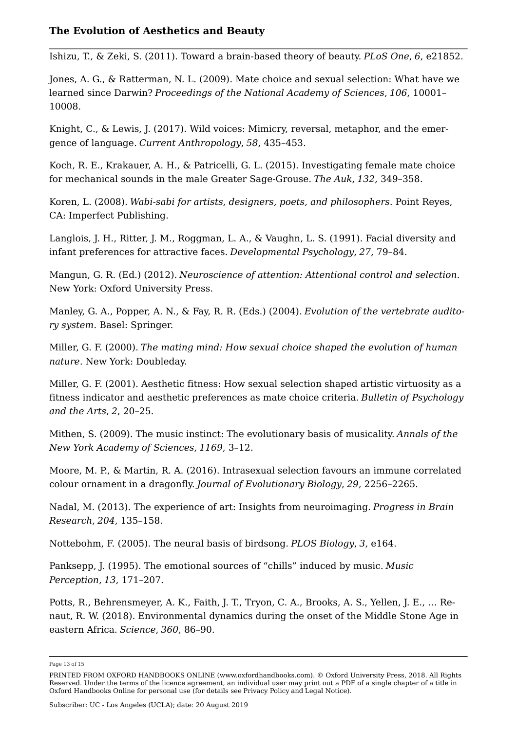Ishizu, T., & Zeki, S. (2011). Toward a brain-based theory of beauty. *PLoS One*, *6*, e21852.

Jones, A. G., & Ratterman, N. L. (2009). Mate choice and sexual selection: What have we learned since Darwin? *Proceedings of the National Academy of Sciences*, *106*, 10001– 10008.

Knight, C., & Lewis, J. (2017). Wild voices: Mimicry, reversal, metaphor, and the emergence of language. *Current Anthropology*, *58*, 435–453.

Koch, R. E., Krakauer, A. H., & Patricelli, G. L. (2015). Investigating female mate choice for mechanical sounds in the male Greater Sage-Grouse. *The Auk*, *132*, 349–358.

Koren, L. (2008). *Wabi-sabi for artists, designers, poets, and philosophers*. Point Reyes, CA: Imperfect Publishing.

Langlois, J. H., Ritter, J. M., Roggman, L. A., & Vaughn, L. S. (1991). Facial diversity and infant preferences for attractive faces. *Developmental Psychology*, *27*, 79–84.

Mangun, G. R. (Ed.) (2012). *Neuroscience of attention: Attentional control and selection*. New York: Oxford University Press.

Manley, G. A., Popper, A. N., & Fay, R. R. (Eds.) (2004). *Evolution of the vertebrate auditory system*. Basel: Springer.

Miller, G. F. (2000). *The mating mind: How sexual choice shaped the evolution of human nature*. New York: Doubleday.

Miller, G. F. (2001). Aesthetic fitness: How sexual selection shaped artistic virtuosity as a fitness indicator and aesthetic preferences as mate choice criteria. *Bulletin of Psychology and the Arts*, *2*, 20–25.

Mithen, S. (2009). The music instinct: The evolutionary basis of musicality. *Annals of the New York Academy of Sciences*, *1169*, 3–12.

Moore, M. P., & Martin, R. A. (2016). Intrasexual selection favours an immune correlated colour ornament in a dragonfly. *Journal of Evolutionary Biology*, *29*, 2256–2265.

Nadal, M. (2013). The experience of art: Insights from neuroimaging. *Progress in Brain Research*, *204*, 135–158.

Nottebohm, F. (2005). The neural basis of birdsong. *PLOS Biology*, *3*, e164.

Panksepp, J. (1995). The emotional sources of "chills" induced by music. *Music Perception*, *13*, 171–207.

Potts, R., Behrensmeyer, A. K., Faith, J. T., Tryon, C. A., Brooks, A. S., Yellen, J. E., … Renaut, R. W. (2018). Environmental dynamics during the onset of the Middle Stone Age in eastern Africa. *Science*, *360*, 86–90.

Page 13 of 15

PRINTED FROM OXFORD HANDBOOKS ONLINE (www.oxfordhandbooks.com). © Oxford University Press, 2018. All Rights Reserved. Under the terms of the licence agreement, an individual user may print out a PDF of a single chapter of a title in Oxford Handbooks Online for personal use (for details see Privacy Policy and Legal Notice).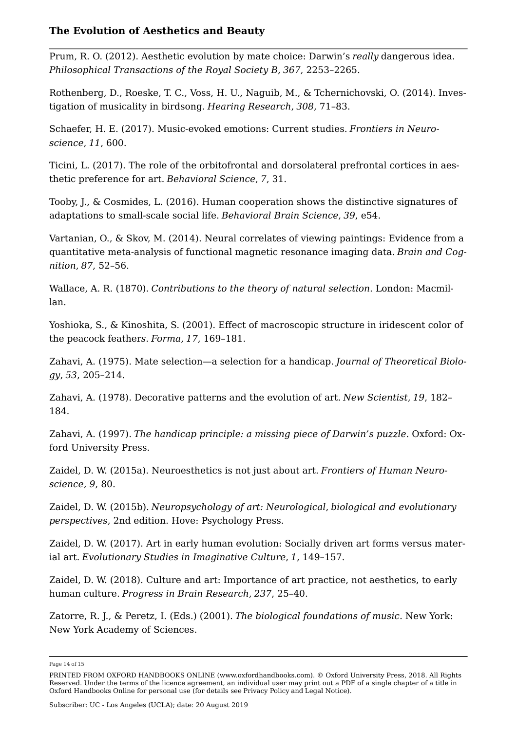Prum, R. O. (2012). Aesthetic evolution by mate choice: Darwin's *really* dangerous idea. *Philosophical Transactions of the Royal Society B*, *367*, 2253–2265.

Rothenberg, D., Roeske, T. C., Voss, H. U., Naguib, M., & Tchernichovski, O. (2014). Investigation of musicality in birdsong. *Hearing Research*, *308*, 71–83.

Schaefer, H. E. (2017). Music-evoked emotions: Current studies. *Frontiers in Neuroscience*, *11*, 600.

Ticini, L. (2017). The role of the orbitofrontal and dorsolateral prefrontal cortices in aesthetic preference for art. *Behavioral Science*, *7*, 31.

Tooby, J., & Cosmides, L. (2016). Human cooperation shows the distinctive signatures of adaptations to small-scale social life. *Behavioral Brain Science*, *39*, e54.

Vartanian, O., & Skov, M. (2014). Neural correlates of viewing paintings: Evidence from a quantitative meta-analysis of functional magnetic resonance imaging data. *Brain and Cognition*, *87*, 52–56.

Wallace, A. R. (1870). *Contributions to the theory of natural selection*. London: Macmillan.

Yoshioka, S., & Kinoshita, S. (2001). Effect of macroscopic structure in iridescent color of the peacock feather*s*. *Forma*, *17*, 169–181.

Zahavi, A. (1975). Mate selection—a selection for a handicap. *Journal of Theoretical Biology*, *53*, 205–214.

Zahavi, A. (1978). Decorative patterns and the evolution of art. *New Scientist*, *19*, 182– 184.

Zahavi, A. (1997). *The handicap principle: a missing piece of Darwin's puzzle*. Oxford: Oxford University Press.

Zaidel, D. W. (2015a). Neuroesthetics is not just about art. *Frontiers of Human Neuroscience, 9*, 80.

Zaidel, D. W. (2015b). *Neuropsychology of art: Neurological*, *biological and evolutionary perspectives*, 2nd edition. Hove: Psychology Press.

Zaidel, D. W. (2017). Art in early human evolution: Socially driven art forms versus material art. *Evolutionary Studies in Imaginative Culture*, *1*, 149–157.

Zaidel, D. W. (2018). Culture and art: Importance of art practice, not aesthetics, to early human culture. *Progress in Brain Research*, *237*, 25–40.

Zatorre, R. J., & Peretz, I. (Eds.) (2001). *The biological foundations of music*. New York: New York Academy of Sciences.

Page 14 of 15

PRINTED FROM OXFORD HANDBOOKS ONLINE (www.oxfordhandbooks.com). © Oxford University Press, 2018. All Rights Reserved. Under the terms of the licence agreement, an individual user may print out a PDF of a single chapter of a title in Oxford Handbooks Online for personal use (for details see Privacy Policy and Legal Notice).